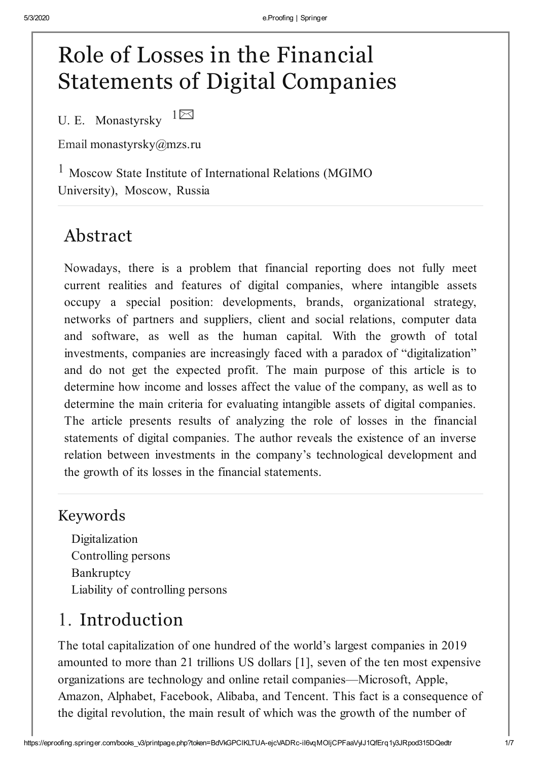# Role of Losses in the Financial Statements of Digital Companies

U. E. Monastyrsky  $1\square$ 

Email monastyrsky@mzs.ru

<sup>1</sup> Moscow State Institute of International Relations (MGIMO University), Moscow, Russia

#### Abstract

Nowadays, there is a problem that financial reporting does not fully meet current realities and features of digital companies, where intangible assets occupy a special position: developments, brands, organizational strategy, networks of partners and suppliers, client and social relations, computer data and software, as well as the human capital. With the growth of total investments, companies are increasingly faced with a paradox of "digitalization" and do not get the expected profit. The main purpose of this article is to determine how income and losses affect the value of the company, as well as to determine the main criteria for evaluating intangible assets of digital companies. The article presents results of analyzing the role of losses in the financial statements of digital companies. The author reveals the existence of an inverse relation between investments in the company's technological development and the growth of its losses in the financial statements.

#### Keywords

Digitalization Controlling persons Bankruptcy Liability of controlling persons

### 1. Introduction

The total capitalization of one hundred of the world's largest companies in 2019 amounted to more than 21 trillions US dollars [1], seven of the ten most expensive organizations are technology and online retail companies—Microsoft, Apple, Amazon, Alphabet, Facebook, Alibaba, and Tencent. This fact is a consequence of the digital revolution, the main result of which was the growth of the number of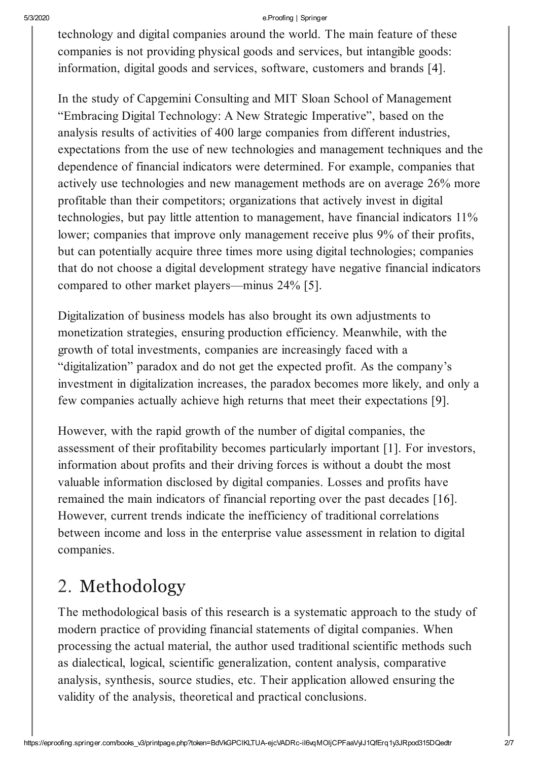#### 5/3/2020 e.Proofing | Springer

technology and digital companies around the world. The main feature of these companies is not providing physical goods and services, but intangible goods: information, digital goods and services, software, customers and brands [4].

In the study of Capgemini Consulting and MIT Sloan School of Management "Embracing Digital Technology: A New Strategic Imperative", based on the analysis results of activities of 400 large companies from different industries, expectations from the use of new technologies and management techniques and the dependence of financial indicators were determined. For example, companies that actively use technologies and new management methods are on average 26% more profitable than their competitors; organizations that actively invest in digital technologies, but pay little attention to management, have financial indicators 11% lower; companies that improve only management receive plus 9% of their profits, but can potentially acquire three times more using digital technologies; companies that do not choose a digital development strategy have negative financial indicators compared to other market players—minus 24% [5].

Digitalization of business models has also brought its own adjustments to monetization strategies, ensuring production efficiency. Meanwhile, with the growth of total investments, companies are increasingly faced with a "digitalization" paradox and do not get the expected profit. As the company's investment in digitalization increases, the paradox becomes more likely, and only a few companies actually achieve high returns that meet their expectations [9].

However, with the rapid growth of the number of digital companies, the assessment of their profitability becomes particularly important [1]. For investors, information about profits and their driving forces is without a doubt the most valuable information disclosed by digital companies. Losses and profits have remained the main indicators of financial reporting over the past decades [16]. However, current trends indicate the inefficiency of traditional correlations between income and loss in the enterprise value assessment in relation to digital companies.

#### 2. Methodology

The methodological basis of this research is a systematic approach to the study of modern practice of providing financial statements of digital companies. When processing the actual material, the author used traditional scientific methods such as dialectical, logical, scientific generalization, content analysis, comparative analysis, synthesis, source studies, etc. Their application allowed ensuring the validity of the analysis, theoretical and practical conclusions.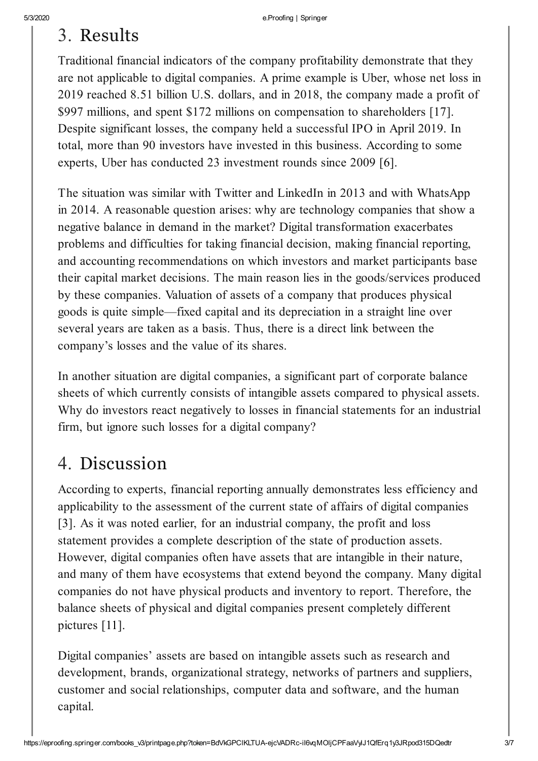### 3. Results

Traditional financial indicators of the company profitability demonstrate that they are not applicable to digital companies. A prime example is Uber, whose net loss in 2019 reached 8.51 billion U.S. dollars, and in 2018, the company made a profit of \$997 millions, and spent \$172 millions on compensation to shareholders [17]. Despite significant losses, the company held a successful IPO in April 2019. In total, more than 90 investors have invested in this business. According to some experts, Uber has conducted 23 investment rounds since 2009 [6].

The situation was similar with Twitter and LinkedIn in 2013 and with WhatsApp in 2014. A reasonable question arises: why are technology companies that show a negative balance in demand in the market? Digital transformation exacerbates problems and difficulties for taking financial decision, making financial reporting, and accounting recommendations on which investors and market participants base their capital market decisions. The main reason lies in the goods/services produced by these companies. Valuation of assets of a company that produces physical goods is quite simple—fixed capital and its depreciation in a straight line over several years are taken as a basis. Thus, there is a direct link between the company's losses and the value of its shares.

In another situation are digital companies, a significant part of corporate balance sheets of which currently consists of intangible assets compared to physical assets. Why do investors react negatively to losses in financial statements for an industrial firm, but ignore such losses for a digital company?

#### 4. Discussion

According to experts, financial reporting annually demonstrates less efficiency and applicability to the assessment of the current state of affairs of digital companies [3]. As it was noted earlier, for an industrial company, the profit and loss statement provides a complete description of the state of production assets. However, digital companies often have assets that are intangible in their nature, and many of them have ecosystems that extend beyond the company. Many digital companies do not have physical products and inventory to report. Therefore, the balance sheets of physical and digital companies present completely different pictures [11].

Digital companies' assets are based on intangible assets such as research and development, brands, organizational strategy, networks of partners and suppliers, customer and social relationships, computer data and software, and the human capital.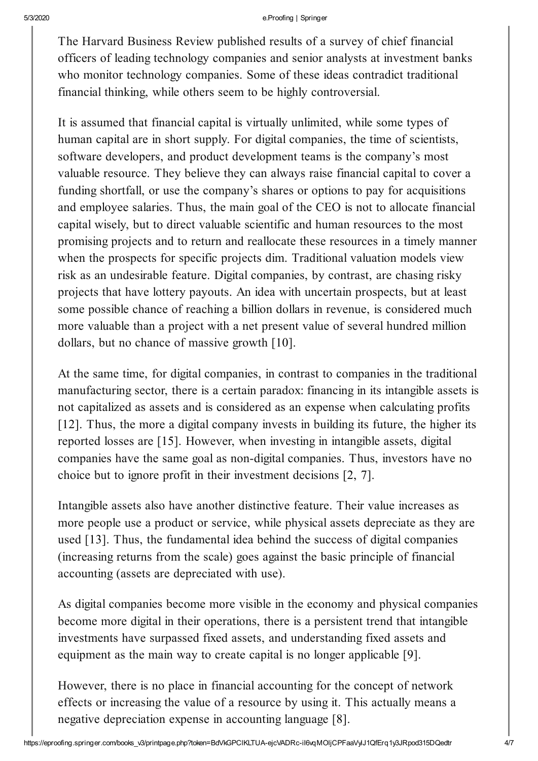#### 5/3/2020 e.Proofing | Springer

The Harvard Business Review published results of a survey of chief financial officers of leading technology companies and senior analysts at investment banks who monitor technology companies. Some of these ideas contradict traditional financial thinking, while others seem to be highly controversial.

It is assumed that financial capital is virtually unlimited, while some types of human capital are in short supply. For digital companies, the time of scientists, software developers, and product development teams is the company's most valuable resource. They believe they can always raise financial capital to cover a funding shortfall, or use the company's shares or options to pay for acquisitions and employee salaries. Thus, the main goal of the CEO is not to allocate financial capital wisely, but to direct valuable scientific and human resources to the most promising projects and to return and reallocate these resources in a timely manner when the prospects for specific projects dim. Traditional valuation models view risk as an undesirable feature. Digital companies, by contrast, are chasing risky projects that have lottery payouts. An idea with uncertain prospects, but at least some possible chance of reaching a billion dollars in revenue, is considered much more valuable than a project with a net present value of several hundred million dollars, but no chance of massive growth [10].

At the same time, for digital companies, in contrast to companies in the traditional manufacturing sector, there is a certain paradox: financing in its intangible assets is not capitalized as assets and is considered as an expense when calculating profits [12]. Thus, the more a digital company invests in building its future, the higher its reported losses are [15]. However, when investing in intangible assets, digital companies have the same goal as non-digital companies. Thus, investors have no choice but to ignore profit in their investment decisions [2, 7].

Intangible assets also have another distinctive feature. Their value increases as more people use a product or service, while physical assets depreciate as they are used [13]. Thus, the fundamental idea behind the success of digital companies (increasing returns from the scale) goes against the basic principle of financial accounting (assets are depreciated with use).

As digital companies become more visible in the economy and physical companies become more digital in their operations, there is a persistent trend that intangible investments have surpassed fixed assets, and understanding fixed assets and equipment as the main way to create capital is no longer applicable [9].

However, there is no place in financial accounting for the concept of network effects or increasing the value of a resource by using it. This actually means a negative depreciation expense in accounting language [8].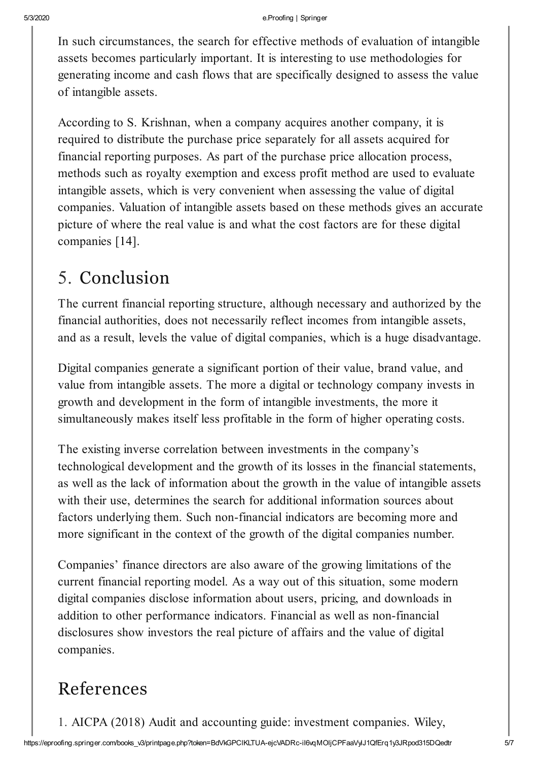In such circumstances, the search for effective methods of evaluation of intangible assets becomes particularly important. It is interesting to use methodologies for generating income and cash flows that are specifically designed to assess the value of intangible assets.

According to S. Krishnan, when a company acquires another company, it is required to distribute the purchase price separately for all assets acquired for financial reporting purposes. As part of the purchase price allocation process, methods such as royalty exemption and excess profit method are used to evaluate intangible assets, which is very convenient when assessing the value of digital companies. Valuation of intangible assets based on these methods gives an accurate picture of where the real value is and what the cost factors are for these digital companies [14].

### 5. Conclusion

The current financial reporting structure, although necessary and authorized by the financial authorities, does not necessarily reflect incomes from intangible assets, and as a result, levels the value of digital companies, which is a huge disadvantage.

Digital companies generate a significant portion of their value, brand value, and value from intangible assets. The more a digital or technology company invests in growth and development in the form of intangible investments, the more it simultaneously makes itself less profitable in the form of higher operating costs.

The existing inverse correlation between investments in the company's technological development and the growth of its losses in the financial statements, as well as the lack of information about the growth in the value of intangible assets with their use, determines the search for additional information sources about factors underlying them. Such non-financial indicators are becoming more and more significant in the context of the growth of the digital companies number.

Companies' finance directors are also aware of the growing limitations of the current financial reporting model. As a way out of this situation, some modern digital companies disclose information about users, pricing, and downloads in addition to other performance indicators. Financial as well as non-financial disclosures show investors the real picture of affairs and the value of digital companies.

## References

1. AICPA (2018) Audit and accounting guide: investment companies. Wiley,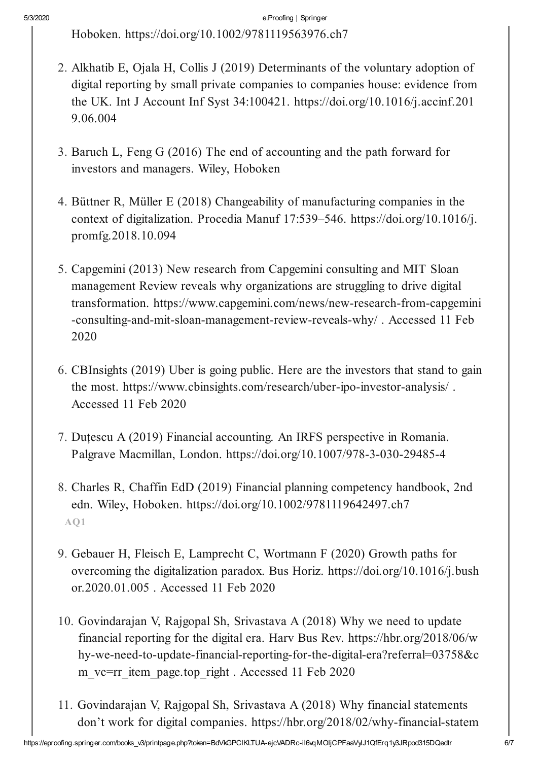Hoboken. https://doi.org/10.1002/9781119563976.ch7

- 2. Alkhatib E, Ojala H, Collis J (2019) Determinants of the voluntary adoption of digital reporting by small private companies to companies house: evidence from the UK. Int J Account Inf Syst 34:100421. https://doi.org/10.1016/j.accinf.201 9.06.004
- 3. Baruch L, Feng G (2016) The end of accounting and the path forward for investors and managers. Wiley, Hoboken
- 4. Büttner R, Müller E (2018) Changeability of manufacturing companies in the context of digitalization. Procedia Manuf 17:539–546. https://doi.org/10.1016/j. promfg.2018.10.094
- 5. Capgemini (2013) New research from Capgemini consulting and MIT Sloan management Review reveals why organizations are struggling to drive digital transformation. https://www.capgemini.com/news/new-research-from-capgemini -consulting-and-mit-sloan-management-review-reveals-why/ . Accessed 11 Feb 2020
- 6. CBInsights (2019) Uber is going public. Here are the investors that stand to gain the most. https://www.cbinsights.com/research/uber-ipo-investor-analysis/ . Accessed 11 Feb 2020
- 7. Duțescu A (2019) Financial accounting. An IRFS perspective in Romania. Palgrave Macmillan, London. https://doi.org/10.1007/978-3-030-29485-4
- 8. Charles R, Chaffin EdD (2019) Financial planning competency handbook, 2nd edn. Wiley, Hoboken. https://doi.org/10.1002/9781119642497.ch7 **AQ1**
- 9. Gebauer H, Fleisch E, Lamprecht C, Wortmann F (2020) Growth paths for overcoming the digitalization paradox. Bus Horiz. https://doi.org/10.1016/j.bush or.2020.01.005 . Accessed 11 Feb 2020
- 10. Govindarajan V, Rajgopal Sh, Srivastava A (2018) Why we need to update financial reporting for the digital era. Harv Bus Rev. https://hbr.org/2018/06/w hy-we-need-to-update-financial-reporting-for-the-digital-era?referral=03758&c m\_vc=rr\_item\_page.top\_right . Accessed 11 Feb 2020
- 11. Govindarajan V, Rajgopal Sh, Srivastava A (2018) Why financial statements don't work for digital companies. https://hbr.org/2018/02/why-financial-statem